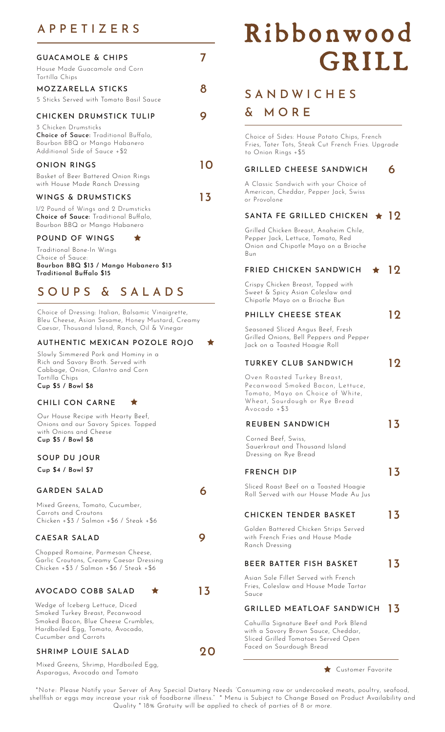# APPETIZERS

| <b>GUACAMOLE &amp; CHIPS</b><br>House Made Guacamole and Corn<br>Tortilla Chips                                                                            |     |
|------------------------------------------------------------------------------------------------------------------------------------------------------------|-----|
| MOZZARELLA STICKS<br>5 Sticks Served with Tomato Basil Sauce                                                                                               |     |
| CHICKEN DRUMSTICK TULIP<br>3 Chicken Drumsticks<br>Choice of Sauce: Traditional Buffalo,<br>Bourbon BBQ or Mango Habanero<br>Additional Side of Sauce +\$2 |     |
| ONION RINGS<br>Basket of Beer Battered Onion Rings<br>with House Made Ranch Dressing                                                                       |     |
| WINGS & DRUMSTICKS<br>1/2 Pound of Wings and 2 Drumsticks<br>Choice of Sauce: Traditional Buffalo,<br>Bourbon BBQ or Mango Habanero<br>POUND OF WINGS      | l 3 |

Traditional Bone-In Wings Choice of Sauce: Bourbon BBQ \$13 / Mango Habanero \$13 Traditional Buffalo \$15

# SOUPS & SALADS

Choice of Dressing: Italian, Balsamic Vinaigrette, Bleu Cheese, Asian Sesame, Honey Mustard, Creamy Caesar, Thousand Island, Ranch, Oil & Vinegar

#### AUTHENTIC MEXICAN POZOLE ROJO

Slowly Simmered Pork and Hominy in a Rich and Savory Broth. Served with Cabbage, Onion, Cilantro and Corn Tortilla Chips Cup \$5 / Bowl \$8

#### CHILI CON CARNE

Our House Recipe with Hearty Beef, Onions and our Savory Spices. Topped with Onions and Cheese Cup \$5 / Bowl \$8

### SOUP DU JOUR

Cup \$4 / Bowl \$7

#### GARDEN SALAD 6

Mixed Greens, Tomato, Cucumber, Carrots and Croutons Chicken +\$3 / Salmon +\$6 / Steak +\$6

#### CAESAR SALAD 9

Chopped Romaine, Parmesan Cheese, Garlic Croutons, Creamy Caesar Dressing Chicken +\$3 / Salmon +\$6 / Steak +\$6

#### AVOCADO COBB SALAD  $\star$  13

Wedge of Iceberg Lettuce, Diced Smoked Turkey Breast, Pecanwood Smoked Bacon, Blue Cheese Crumbles, Hardboiled Egg, Tomato, Avocado, Cucumber and Carrots

#### SHRIMP LOUIE SALAD 20

Mixed Greens, Shrimp, Hardboiled Egg, Asparagus, Avocado and Tomato

# Ribbonwood GRILL

# **SANDWICHES**

## & MORE

Choice of Sides: House Potato Chips, French Fries, Tater Tots, Steak Cut French Fries. Upgrade to Onion Rings +\$5

#### GRILLED CHEESE SANDWICH 6

A Classic Sandwich with your Choice of American, Cheddar, Pepper Jack, Swiss or Provolone

#### SANTA FE GRILLED CHICKEN  $\star$  12

Grilled Chicken Breast, Anaheim Chile, Pepper Jack, Lettuce, Tomato, Red Onion and Chipotle Mayo on a Brioche Bun

#### FRIED CHICKEN SANDWICH  $\star$  12

Crispy Chicken Breast, Topped with Sweet & Spicy Asian Coleslaw and Chipotle Mayo on a Brioche Bun

#### PHILLY CHEESE STEAK 12

Seasoned Sliced Angus Beef, Fresh Grilled Onions, Bell Peppers and Pepper Jack on a Toasted Hoagie Roll

#### TURKEY CLUB SANDWICH 12

Oven Roasted Turkey Breast, Pecanwood Smoked Bacon, Lettuce, Tomato, Mayo on Choice of White, Wheat, Sourdough or Rye Bread Avocado +\$3

#### REUBEN SANDWICH 13

Corned Beef, Swiss, Sauerkraut and Thousand Island Dressing on Rye Bread

#### FRENCH DIP 13

Sliced Roast Beef on a Toasted Hoagie Roll Served with our House Made Au Jus

#### CHICKEN TENDER BASKET 13

Golden Battered Chicken Strips Served with French Fries and House Made Ranch Dressing

#### BEER BATTER FISH BASKET  $13$

Asian Sole Fillet Served with French Fries, Coleslaw and House Made Tartar Sauce

### GRILLED MEATLOAF SANDWICH 13

Cahuilla Signature Beef and Pork Blend with a Savory Brown Sauce, Cheddar, Sliced Grilled Tomatoes Served Open Faced on Sourdough Bread

#### **Customer Favorite**

\*Note: Please Notify your Server of Any Special Dietary Needs "Consuming raw or undercooked meats, poultry, seafood, shellfish or eggs may increase your risk of foodborne illness." \* Menu is Subject to Change Based on Product Availability and Quality \* 18% Gratuity will be applied to check of parties of 8 or more.